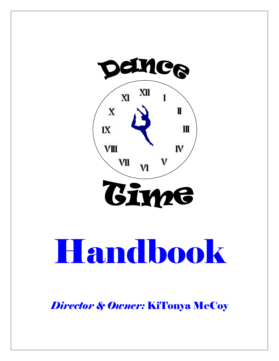



# Handbook

*Director & Owner:* KiTonya McCoy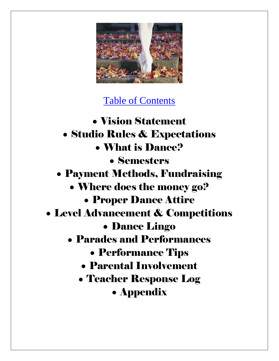

### Table of Contents

Vision Statement Studio Rules & Expectations What is Dance? Semesters Payment Methods, Fundraising Where does the money go? Proper Dance Attire Level Advancement & Competitions Dance Lingo Parades and Performances Performance Tips Parental Involvement Teacher Response Log Appendix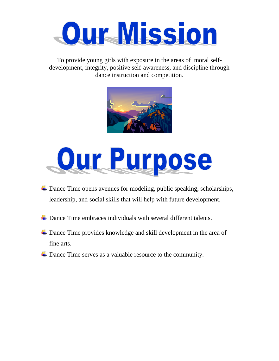### **Our Mission**

To provide young girls with exposure in the areas of moral selfdevelopment, integrity, positive self-awareness, and discipline through dance instruction and competition.





- ↓ Dance Time opens avenues for modeling, public speaking, scholarships, leadership, and social skills that will help with future development.
- $\overline{\phantom{a}}$  Dance Time embraces individuals with several different talents.
- $\overline{+}$  Dance Time provides knowledge and skill development in the area of fine arts.
- **↓** Dance Time serves as a valuable resource to the community.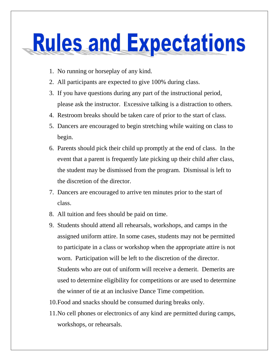### **Rules and Expectations**

- 1. No running or horseplay of any kind.
- 2. All participants are expected to give 100% during class.
- 3. If you have questions during any part of the instructional period, please ask the instructor. Excessive talking is a distraction to others.
- 4. Restroom breaks should be taken care of prior to the start of class.
- 5. Dancers are encouraged to begin stretching while waiting on class to begin.
- 6. Parents should pick their child up promptly at the end of class. In the event that a parent is frequently late picking up their child after class, the student may be dismissed from the program. Dismissal is left to the discretion of the director.
- 7. Dancers are encouraged to arrive ten minutes prior to the start of class.
- 8. All tuition and fees should be paid on time.
- 9. Students should attend all rehearsals, workshops, and camps in the assigned uniform attire. In some cases, students may not be permitted to participate in a class or workshop when the appropriate attire is not worn. Participation will be left to the discretion of the director. Students who are out of uniform will receive a demerit. Demerits are used to determine eligibility for competitions or are used to determine the winner of tie at an inclusive Dance Time competition.
- 10.Food and snacks should be consumed during breaks only.
- 11.No cell phones or electronics of any kind are permitted during camps, workshops, or rehearsals.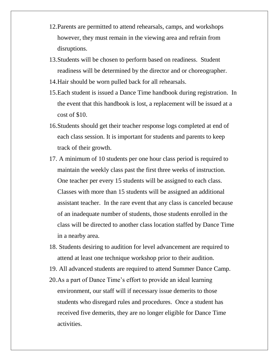- 12.Parents are permitted to attend rehearsals, camps, and workshops however, they must remain in the viewing area and refrain from disruptions.
- 13.Students will be chosen to perform based on readiness. Student readiness will be determined by the director and or choreographer.
- 14.Hair should be worn pulled back for all rehearsals.
- 15.Each student is issued a Dance Time handbook during registration. In the event that this handbook is lost, a replacement will be issued at a cost of \$10.
- 16.Students should get their teacher response logs completed at end of each class session. It is important for students and parents to keep track of their growth.
- 17. A minimum of 10 students per one hour class period is required to maintain the weekly class past the first three weeks of instruction. One teacher per every 15 students will be assigned to each class. Classes with more than 15 students will be assigned an additional assistant teacher. In the rare event that any class is canceled because of an inadequate number of students, those students enrolled in the class will be directed to another class location staffed by Dance Time in a nearby area.
- 18. Students desiring to audition for level advancement are required to attend at least one technique workshop prior to their audition.
- 19. All advanced students are required to attend Summer Dance Camp.
- 20.As a part of Dance Time's effort to provide an ideal learning environment, our staff will if necessary issue demerits to those students who disregard rules and procedures. Once a student has received five demerits, they are no longer eligible for Dance Time activities.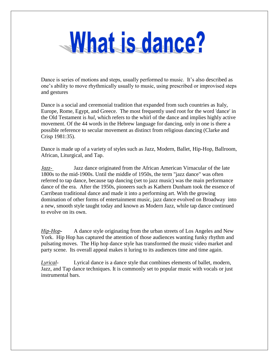### What is dance?

Dance is series of motions and steps, usually performed to music. It's also described as one's ability to move rhythmically usually to music, using prescribed or improvised steps and gestures

Dance is a social and ceremonial tradition that expanded from such countries as Italy, Europe, Rome, Egypt, and Greece. The most frequently used root for the word 'dance' in the Old Testament is *hul,* which refers to the whirl of the dance and implies highly active movement. Of the 44 words in the Hebrew language for dancing, only in one is there a possible reference to secular movement as distinct from religious dancing (Clarke and Crisp 1981:35).

Dance is made up of a variety of styles such as Jazz, Modern, Ballet, Hip-Hop, Ballroom, African, Liturgical, and Tap.

*Jazz-* Jazz dance originated from the African American Virnacular of the late 1800s to the mid-1900s. Until the middle of 1950s, the term "jazz dance" was often referred to tap dance, because tap dancing (set to jazz music) was the main performance dance of the era. After the 1950s, pioneers such as Kathern Dunham took the essence of Carribean traditional dance and made it into a performing art. With the growing domination of other forms of entertainment music, jazz dance evolved on Broadway into a new, smooth style taught today and known as Modern Jazz, while tap dance continued to evolve on its own.

*Hip-Hop***-** A dance style originating from the urban streets of Los Angeles and New York. Hip Hop has captured the attention of those audiences wanting funky rhythm and pulsating moves. The Hip hop dance style has transformed the music video market and party scene. Its overall appeal makes it luring to its audiences time and time again.

*Lyrical*- Lyrical dance is a dance style that combines elements of ballet, modern, Jazz, and Tap dance techniques. It is commonly set to popular music with vocals or just instrumental bars.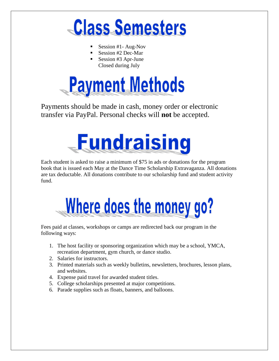

- Session #1- Aug-Nov
- Session #2 Dec-Mar
- Session #3 Apr-June Closed during July



Payments should be made in cash, money order or electronic transfer via PayPal. Personal checks will **not** be accepted.



Each student is asked to raise a minimum of \$75 in ads or donations for the program book that is issued each May at the Dance Time Scholarship Extravaganza. All donations are tax deductable. All donations contribute to our scholarship fund and student activity fund.



Fees paid at classes, workshops or camps are redirected back our program in the following ways:

- 1. The host facility or sponsoring organization which may be a school, YMCA, recreation department, gym church, or dance studio.
- 2. Salaries for instructors.
- 3. Printed materials such as weekly bulletins, newsletters, brochures, lesson plans, and websites.
- 4. Expense paid travel for awarded student titles.
- 5. College scholarships presented at major competitions.
- 6. Parade supplies such as floats, banners, and balloons.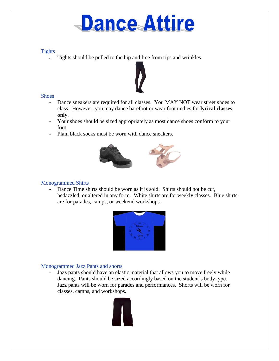### **Dance Attire**

#### **Tights**

Tights should be pulled to the hip and free from rips and wrinkles.



#### **Shoes**

- Dance sneakers are required for all classes. You MAY NOT wear street shoes to class. However, you may dance barefoot or wear foot undies for **lyrical classes only**.
- Your shoes should be sized appropriately as most dance shoes conform to your foot.
- Plain black socks must be worn with dance sneakers.



#### Monogrammed Shirts

- Dance Time shirts should be worn as it is sold. Shirts should not be cut, bedazzled, or altered in any form. White shirts are for weekly classes. Blue shirts are for parades, camps, or weekend workshops.



#### Monogrammed Jazz Pants and shorts

- Jazz pants should have an elastic material that allows you to move freely while dancing. Pants should be sized accordingly based on the student's body type. Jazz pants will be worn for parades and performances. Shorts will be worn for classes, camps, and workshops.

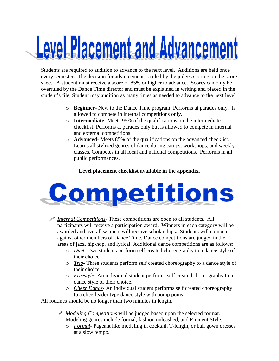# Level Placement and Advancement

Students are required to audition to advance to the next level. Auditions are held once every semester. The decision for advancement is ruled by the judges scoring on the score sheet. A student must receive a score of 85% or higher to advance. Scores can only be overruled by the Dance Time director and must be explained in writing and placed in the student's file. Student may audition as many times as needed to advance to the next level.

- o **Beginner** New to the Dance Time program. Performs at parades only. Is allowed to compete in internal competitions only.
- o **Intermediate** Meets 95% of the qualifications on the intermediate checklist. Performs at parades only but is allowed to compete in internal and external competitions.
- o **Advanced** Meets 85% of the qualifications on the advanced checklist. Learns all stylized genres of dance during camps, workshops, and weekly classes. Competes in all local and national competitions. Performs in all public performances.

#### **Level placement checklist available in the appendix**.



 *Internal Competitions*- These competitions are open to all students. All participants will receive a participation award. Winners in each category will be awarded and overall winners will receive scholarships. Students will compete against other members of Dance Time. Dance competitions are judged in the areas of jazz, hip-hop, and lyrical. Additional dance competitions are as follows:

- o *Duet* Two students perform self created choreography to a dance style of their choice.
- o *Trio* Three students perform self created choreography to a dance style of their choice.
- o *Freestyle* An individual student performs self created choreography to a dance style of their choice.
- o *Cheer Dance* An individual student performs self created choreography to a cheerleader type dance style with pomp poms.

All routines should be no longer than two minutes in length.

- *Modeling Competitions* will be judged based upon the selected format. Modeling genres include formal, fashion unleashed, and Eminent Style.
	- o *Formal* Pageant like modeling in cocktail, T-length, or ball gown dresses at a slow tempo.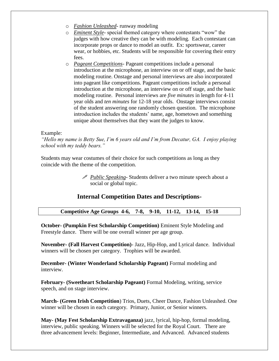- o *Fashion Unleashed* runway modeling
- o *Eminent Style* special themed category where contestants "wow" the judges with how creative they can be with modeling. Each contestant can incorporate props or dance to model an outfit. Ex: sportswear, career wear, or hobbies, etc. Students will be responsible for covering their entry fees.
- o *Pageant Competitions* Pageant competitions include a personal introduction at the microphone, an interview on or off stage, and the basic modeling routine. Onstage and personal interviews are also incorporated into pageant like competitions. Pageant competitions include a personal introduction at the microphone, an interview on or off stage, and the basic modeling routine. Personal interviews are *five minutes* in length for 4-11 year olds and *ten minutes* for 12-18 year olds. Onstage interviews consist of the student answering one randomly chosen question. The microphone introduction includes the students' name, age, hometown and something unique about themselves that they want the judges to know.

#### Example:

*"Hello my name is Betty Sue, I'm 6 years old and I'm from Decatur, GA. I enjoy playing school with my teddy bears."*

Students may wear costumes of their choice for such competitions as long as they coincide with the theme of the competition.

> *Public Speaking*- Students deliver a two minute speech about a social or global topic.

#### **Internal Competition Dates and Descriptions-**

#### **Competitive Age Groups 4-6, 7-8, 9-10, 11-12, 13-14, 15-18**

**October- (Pumpkin Fest Scholarship Competition)** Eminent Style Modeling and Freestyle dance. There will be one overall winner per age group.

**November- (Fall Harvest Competition)**- Jazz, Hip-Hop, and Lyrical dance. Individual winners will be chosen per category. Trophies will be awarded.

**December- (Winter Wonderland Scholarship Pageant)** Formal modeling and interview.

**February- (Sweetheart Scholarship Pageant)** Formal Modeling, writing, service speech, and on stage interview.

**March- (Green Irish Competition**) Trios, Duets, Cheer Dance, Fashion Unleashed. One winner will be chosen in each category. Primary, Junior, or Senior winners.

**May- (May Fest Scholarship Extravaganza)** jazz, lyrical, hip-hop, formal modeling, interview, public speaking. Winners will be selected for the Royal Court. There are three advancement levels: Beginner, Intermediate, and Advanced. Advanced students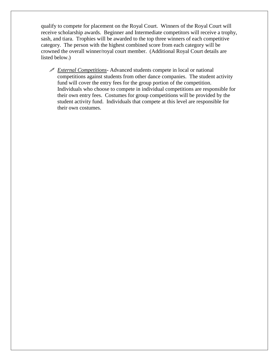qualify to compete for placement on the Royal Court. Winners of the Royal Court will receive scholarship awards. Beginner and Intermediate competitors will receive a trophy, sash, and tiara. Trophies will be awarded to the top three winners of each competitive category. The person with the highest combined score from each category will be crowned the overall winner/royal court member. (Additional Royal Court details are listed below.)

 *External Competitions*- Advanced students compete in local or national competitions against students from other dance companies. The student activity fund will cover the entry fees for the group portion of the competition. Individuals who choose to compete in individual competitions are responsible for their own entry fees. Costumes for group competitions will be provided by the student activity fund. Individuals that compete at this level are responsible for their own costumes.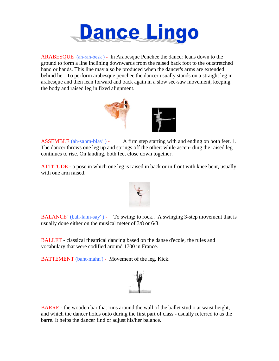

ARABESQUE (ah-rah-besk ) - In Arabesque Penchee the dancer leans down to the ground to form a line inclining downwards from the raised back foot to the outstretched hand or hands. This line may also be produced when the dancer's arms are extended behind her. To perform arabesque penchee the dancer usually stands on a straight leg in arabesque and then lean forward and back again in a slow see-saw movement, keeping the body and raised leg in fixed alignment.



ASSEMBLE  $(ah-sahm-blav') - A firm step starting with and ending on both feet. 1.$ The dancer throws one leg up and springs off the other: while ascen- ding the raised leg continues to rise. On landing, both feet close down together.

ATTITUDE - a pose in which one leg is raised in back or in front with knee bent, usually with one arm raised.



BALANCE' (bah-lahn-say') - To swing; to rock.. A swinging 3-step movement that is usually done either on the musical meter of 3/8 or 6/8.

BALLET - classical theatrical dancing based on the danse d'ecole, the rules and vocabulary that were codified around 1700 in France.

BATTEMENT (baht-mahn') - Movement of the leg. Kick.



BARRE - the wooden bar that runs around the wall of the ballet studio at waist height, and which the dancer holds onto during the first part of class - usually referred to as the barre. It helps the dancer find or adjust his/her balance.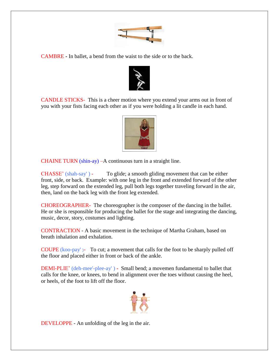

CAMBRE **-** In ballet, a bend from the waist to the side or to the back.



CANDLE STICKS- This is a cheer motion where you extend your arms out in front of you with your fists facing each other as if you were holding a lit candle in each hand.



CHAINE TURN (shin-ay) –A continuous turn in a straight line.

CHASSE' (shah-say' ) - To glide; a smooth gliding movement that can be either front, side, or back. Example: with one leg in the front and extended forward of the other leg, step forward on the extended leg, pull both legs together traveling forward in the air, then, land on the back leg with the front leg extended.

CHOREOGRAPHER**-** The choreographer is the composer of the dancing in the ballet. He or she is responsible for producing the ballet for the stage and integrating the dancing, music, decor, story, costumes and lighting.

CONTRACTION - A basic movement in the technique of Martha Graham, based on breath inhalation and exhalation.

COUPE (koo-pay' )- To cut; a movement that calls for the foot to be sharply pulled off the floor and placed either in front or back of the ankle.

DEMI-PLIE' (deh-mee'-plee-ay' ) **-** Small bend; a movemen fundamental to ballet that calls for the knee, or knees, to bend in alignment over the toes without causing the heel, or heels, of the foot to lift off the floor.



DEVELOPPE - An unfolding of the leg in the air.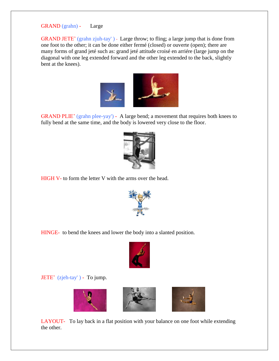GRAND (grahn) - Large

GRAND JETE' (grahn zjuh-tay') - Large throw; to fling; a large jump that is done from one foot to the other; it can be done either fermé (closed) or ouverte (open); there are many forms of grand jeté such as: grand jeté attitude croisé en arriére (large jump on the diagonal with one leg extended forward and the other leg extended to the back, slightly bent at the knees).



GRAND PLIE' (grahn plee-yay') - A large bend; a movement that requires both knees to fully bend at the same time, and the body is lowered very close to the floor.



HIGH V- to form the letter V with the arms over the head.



HINGE- to bend the knees and lower the body into a slanted position.



JETE' (zjeh-tay' ) - To jump.



LAYOUT- To lay back in a flat position with your balance on one foot while extending the other.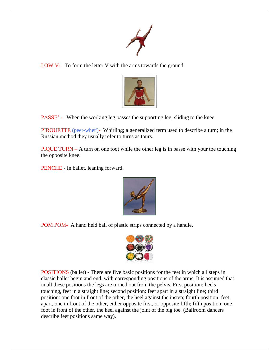

LOW V- To form the letter V with the arms towards the ground.



PASSE' - When the working leg passes the supporting leg, sliding to the knee.

PIROUETTE (peer-whet')- Whirling; a generalized term used to describe a turn; in the Russian method they usually refer to turns as tours.

PIQUE TURN – A turn on one foot while the other leg is in passe with your toe touching the opposite knee.

PENCHE - In ballet, leaning forward.



POM POM- A hand held ball of plastic strips connected by a handle.



POSITIONS (ballet) - There are five basic positions for the feet in which all steps in classic ballet begin and end, with corresponding positions of the arms. It is assumed that in all these positions the legs are turned out from the pelvis. First position: heels touching, feet in a straight line; second position: feet apart in a straight line; third position: one foot in front of the other, the heel against the instep; fourth position: feet apart, one in front of the other, either opposite first, or opposite fifth; fifth position: one foot in front of the other, the heel against the joint of the big toe. (Ballroom dancers describe feet positions same way).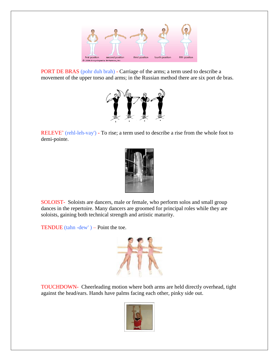

PORT DE BRAS (pohr duh brah) - Carriage of the arms; a term used to describe a movement of the upper torso and arms; in the Russian method there are six port de bras.



RELEVE' (rehl-leh-vay') - To rise; a term used to describe a rise from the whole foot to demi-pointe.



SOLOIST- Soloists are dancers, male or female, who perform solos and small group dances in the repertoire. Many dancers are groomed for principal roles while they are soloists, gaining both technical strength and artistic maturity.

TENDUE (tahn -dew') – Point the toe.



TOUCHDOWN- Cheerleading motion where both arms are held directly overhead, tight against the head/ears. Hands have palms facing each other, pinky side out.

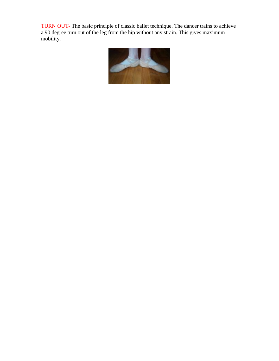TURN OUT**-** The basic principle of classic ballet technique. The dancer trains to achieve a 90 degree turn out of the leg from the hip without any strain. This gives maximum mobility.

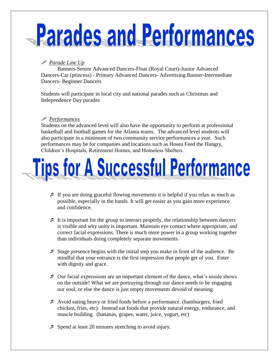# Parades and Performances

#### *Parade Line Up*

Banners-Senior Advanced Dancers-Float (Royal Court)-Junior Advanced Dancers-Car (princess) - Primary Advanced Dancers- Advertising Banner-Intermediate Dancers- Beginner Dancers

Students will participate in local city and national parades such as Christmas and Independence Day parades

#### *Performances*

Students on the advanced level will also have the opportunity to perform at professional basketball and football games for the Atlanta teams. The advanced level students will also participate in a minimum of two community service performances a year. Such performances may be for companies and locations such as Hosea Feed the Hungry, Children's Hospitals, Retirement Homes, and Homeless Shelters.

### **Tips for A Successful Performance**

- If you are doing graceful flowing movements it is helpful if you relax as much as possible, especially in the hands. It will get easier as you gain more experience and confidence.
- It is important for the group to interact properly, the relationship between dancers is visible and why unity is important. Maintain eye contact where appropriate, and correct facial expressions. There is much more power in a group working together than individuals doing completely separate movements.
- Stage presence begins with the initial step you make in front of the audience. Be mindful that your entrance is the first impression that people get of you. Enter with dignity and grace.
- $\mathcal I$  Our facial expressions are an important element of the dance, what's inside shows on the outside! What we are portraying through our dance needs to be engaging our soul, or else the dance is just empty movements devoid of meaning.
- Avoid eating heavy or fried foods before a performance. (hamburgers, fried chicken, fries, etc). Instead eat foods that provide natural energy, endurance, and muscle building. (bananas, grapes, water, juice, yogurt, etc)
- $\blacktriangleright$  Spend at least 20 minutes stretching to avoid injury.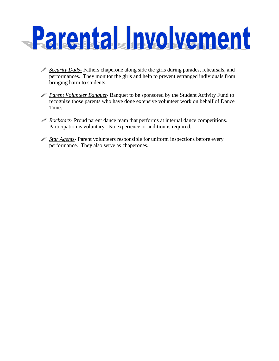# **Parental Involvement**

- *Security Dads-* Fathers chaperone along side the girls during parades, rehearsals, and performances. They monitor the girls and help to prevent estranged individuals from bringing harm to students.
- *Parent Volunteer Banquet* Banquet to be sponsored by the Student Activity Fund to recognize those parents who have done extensive volunteer work on behalf of Dance Time.
- *Rockstars* Proud parent dance team that performs at internal dance competitions. Participation is voluntary. No experience or audition is required.
- *Star Agents* Parent volunteers responsible for uniform inspections before every performance. They also serve as chaperones.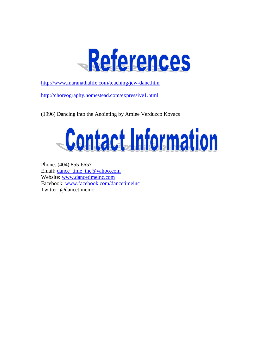

<http://www.maranathalife.com/teaching/jew-danc.htm>

<http://choreography.homestead.com/expressive1.html>

(1996) Dancing into the Anointing by Amiee Verduzco Kovacs



Phone: (404) 855-6657 Email: [dance\\_time\\_inc@yahoo.com](mailto:dance_time_inc@yahoo.com) Website: [www.dancetimeinc.com](http://www.dancetimeinc.com/) Facebook: [www.facebook.com/dancetimeinc](http://www.facebook.com/dancetimeinc) Twitter: @dancetimeinc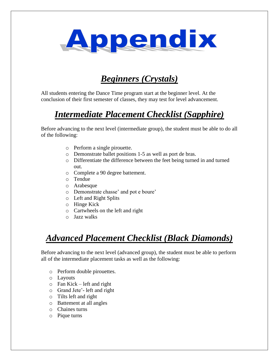

### *Beginners (Crystals)*

All students entering the Dance Time program start at the beginner level. At the conclusion of their first semester of classes, they may test for level advancement.

### *Intermediate Placement Checklist (Sapphire)*

Before advancing to the next level (intermediate group), the student must be able to do all of the following:

- o Perform a single pirouette.
- o Demonstrate ballet positions 1-5 as well as port de bras.
- o Differentiate the difference between the feet being turned in and turned out.
- o Complete a 90 degree battement.
- o Tendue
- o Arabesque
- o Demonstrate chasse' and pot e boure'
- o Left and Right Splits
- o Hinge Kick
- o Cartwheels on the left and right
- o Jazz walks

### *Advanced Placement Checklist (Black Diamonds)*

Before advancing to the next level (advanced group), the student must be able to perform all of the intermediate placement tasks as well as the following:

- o Perform double pirouettes.
- o Layouts
- $\circ$  Fan Kick left and right
- o Grand Jete'- left and right
- o Tilts left and right
- o Battement at all angles
- o Chaines turns
- o Pique turns